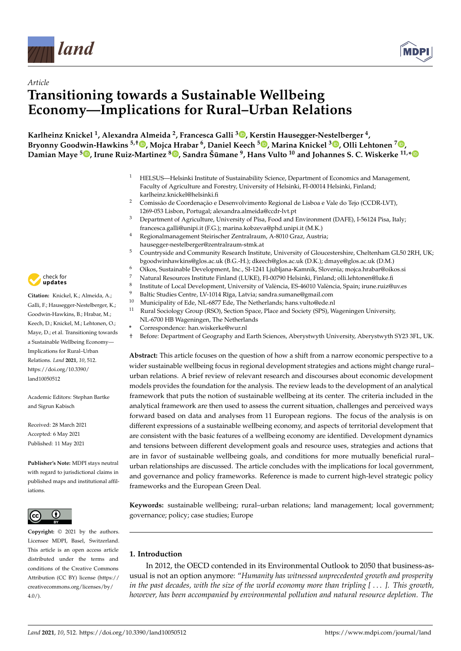



# *Article* **Transitioning towards a Sustainable Wellbeing Economy—Implications for Rural–Urban Relations**

**Karlheinz Knickel <sup>1</sup> , Alexandra Almeida <sup>2</sup> , Francesca Galli [3](https://orcid.org/0000-0001-7247-3681) , Kerstin Hausegger-Nestelberger <sup>4</sup> , Bryonny Goodwin-Hawkins 5,[†](https://orcid.org/0000-0002-9399-5486) , Mojca Hrabar <sup>6</sup> , Daniel Keech <sup>5</sup> [,](https://orcid.org/0000-0003-4112-9030) Marina Knickel <sup>3</sup> [,](https://orcid.org/0000-0003-1496-7864) Olli Lehtonen <sup>7</sup> [,](https://orcid.org/0000-0003-2040-7265) Damian Maye <sup>5</sup> [,](https://orcid.org/0000-0002-4459-6630) Irune Ruiz-Martinez <sup>8</sup> [,](https://orcid.org/0000-0002-7500-8408) Sandra Šumane ¯ 9 , Hans Vulto <sup>10</sup> and Johannes S. C. Wiskerke 11,[\\*](https://orcid.org/0000-0002-9839-6917)**

- <sup>1</sup> HELSUS—Helsinki Institute of Sustainability Science, Department of Economics and Management, Faculty of Agriculture and Forestry, University of Helsinki, FI-00014 Helsinki, Finland; karlheinz.knickel@helsinki.fi
- <sup>2</sup> Comissão de Coordenação e Desenvolvimento Regional de Lisboa e Vale do Tejo (CCDR-LVT), 1269-053 Lisbon, Portugal; alexandra.almeida@ccdr-lvt.pt
- <sup>3</sup> Department of Agriculture, University of Pisa, Food and Environment (DAFE), I-56124 Pisa, Italy; francesca.galli@unipi.it (F.G.); marina.kobzeva@phd.unipi.it (M.K.)
- <sup>4</sup> Regionalmanagement Steirischer Zentralraum, A-8010 Graz, Austria;
- hausegger-nestelberger@zentralraum-stmk.at
- <sup>5</sup> Countryside and Community Research Institute, University of Gloucestershire, Cheltenham GL50 2RH, UK; bgoodwinhawkins@glos.ac.uk (B.G.-H.); dkeech@glos.ac.uk (D.K.); dmaye@glos.ac.uk (D.M.)
- <sup>6</sup> Oikos, Sustainable Development, Inc., SI-1241 Ljubljana-Kamnik, Slovenia; mojca.hrabar@oikos.si
- <sup>7</sup> Natural Resources Institute Finland (LUKE), FI-00790 Helsinki, Finland; olli.lehtonen@luke.fi
- 8 Institute of Local Development, University of València, ES-46010 València, Spain; irune.ruiz@uv.es
- 9 Baltic Studies Centre, LV-1014 Rīga, Latvia; sandra.sumane@gmail.com<br> $\frac{10}{2}$ Municipality of Edo NJ 6877 Edo The Notherlands: hans vulte@edo.p
- <sup>10</sup> Municipality of Ede, NL-6877 Ede, The Netherlands; hans.vulto@ede.nl<br><sup>11</sup> Rural Sociology Group (RSO), Section Space, Place and Society (SPS), W
- <sup>11</sup> Rural Sociology Group (RSO), Section Space, Place and Society (SPS), Wageningen University, NL-6700 HB Wageningen, The Netherlands
- **\*** Correspondence: han.wiskerke@wur.nl
- † Before: Department of Geography and Earth Sciences, Aberystwyth University, Aberystwyth SY23 3FL, UK.

**Abstract:** This article focuses on the question of how a shift from a narrow economic perspective to a wider sustainable wellbeing focus in regional development strategies and actions might change rural– urban relations. A brief review of relevant research and discourses about economic development models provides the foundation for the analysis. The review leads to the development of an analytical framework that puts the notion of sustainable wellbeing at its center. The criteria included in the analytical framework are then used to assess the current situation, challenges and perceived ways forward based on data and analyses from 11 European regions. The focus of the analysis is on different expressions of a sustainable wellbeing economy, and aspects of territorial development that are consistent with the basic features of a wellbeing economy are identified. Development dynamics and tensions between different development goals and resource uses, strategies and actions that are in favor of sustainable wellbeing goals, and conditions for more mutually beneficial rural– urban relationships are discussed. The article concludes with the implications for local government, and governance and policy frameworks. Reference is made to current high-level strategic policy frameworks and the European Green Deal.

**Keywords:** sustainable wellbeing; rural–urban relations; land management; local government; governance; policy; case studies; Europe

# **1. Introduction**

In 2012, the OECD contended in its Environmental Outlook to 2050 that business-asusual is not an option anymore: "*Humanity has witnessed unprecedented growth and prosperity in the past decades, with the size of the world economy more than tripling [* . . . *]. This growth, however, has been accompanied by environmental pollution and natural resource depletion. The*



**Citation:** Knickel, K.; Almeida, A.; Galli, F.; Hausegger-Nestelberger, K.; Goodwin-Hawkins, B.; Hrabar, M.; Keech, D.; Knickel, M.; Lehtonen, O.; Maye, D.; et al. Transitioning towards a Sustainable Wellbeing Economy— Implications for Rural–Urban Relations. *Land* **2021**, *10*, 512. [https://doi.org/10.3390/](https://doi.org/10.3390/land10050512) [land10050512](https://doi.org/10.3390/land10050512)

Academic Editors: Stephan Bartke and Sigrun Kabisch

Received: 28 March 2021 Accepted: 6 May 2021 Published: 11 May 2021

**Publisher's Note:** MDPI stays neutral with regard to jurisdictional claims in published maps and institutional affiliations.



**Copyright:** © 2021 by the authors. Licensee MDPI, Basel, Switzerland. This article is an open access article distributed under the terms and conditions of the Creative Commons Attribution (CC BY) license (https:/[/](https://creativecommons.org/licenses/by/4.0/) [creativecommons.org/licenses/by/](https://creativecommons.org/licenses/by/4.0/)  $4.0/$ ).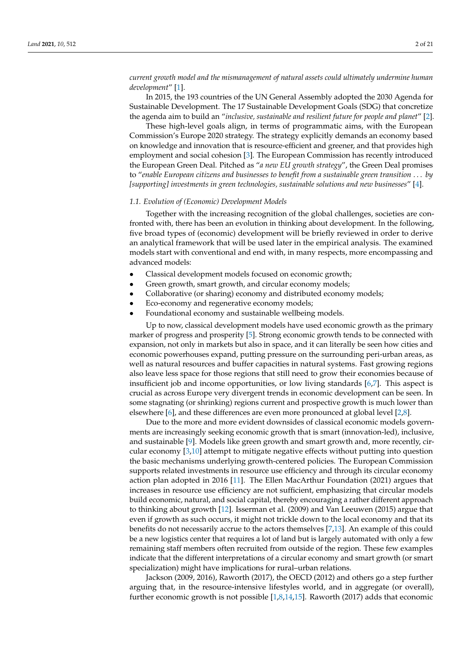*current growth model and the mismanagement of natural assets could ultimately undermine human development*" [\[1\]](#page-18-0).

In 2015, the 193 countries of the UN General Assembly adopted the 2030 Agenda for Sustainable Development. The 17 Sustainable Development Goals (SDG) that concretize the agenda aim to build an "*inclusive, sustainable and resilient future for people and planet*" [\[2\]](#page-18-1).

These high-level goals align, in terms of programmatic aims, with the European Commission's Europe 2020 strategy. The strategy explicitly demands an economy based on knowledge and innovation that is resource-efficient and greener, and that provides high employment and social cohesion [\[3\]](#page-18-2). The European Commission has recently introduced the European Green Deal. Pitched as "*a new EU growth strategy*", the Green Deal promises to "*enable European citizens and businesses to benefit from a sustainable green transition* . . . *by [supporting] investments in green technologies, sustainable solutions and new businesses*" [\[4\]](#page-18-3).

#### *1.1. Evolution of (Economic) Development Models*

Together with the increasing recognition of the global challenges, societies are confronted with, there has been an evolution in thinking about development. In the following, five broad types of (economic) development will be briefly reviewed in order to derive an analytical framework that will be used later in the empirical analysis. The examined models start with conventional and end with, in many respects, more encompassing and advanced models:

- Classical development models focused on economic growth;
- Green growth, smart growth, and circular economy models;
- Collaborative (or sharing) economy and distributed economy models;
- Eco-economy and regenerative economy models;
- Foundational economy and sustainable wellbeing models.

Up to now, classical development models have used economic growth as the primary marker of progress and prosperity [\[5\]](#page-18-4). Strong economic growth tends to be connected with expansion, not only in markets but also in space, and it can literally be seen how cities and economic powerhouses expand, putting pressure on the surrounding peri-urban areas, as well as natural resources and buffer capacities in natural systems. Fast growing regions also leave less space for those regions that still need to grow their economies because of insufficient job and income opportunities, or low living standards [\[6,](#page-18-5)[7\]](#page-18-6). This aspect is crucial as across Europe very divergent trends in economic development can be seen. In some stagnating (or shrinking) regions current and prospective growth is much lower than elsewhere [\[6\]](#page-18-5), and these differences are even more pronounced at global level [\[2](#page-18-1)[,8\]](#page-18-7).

Due to the more and more evident downsides of classical economic models governments are increasingly seeking economic growth that is smart (innovation-led), inclusive, and sustainable [\[9\]](#page-18-8). Models like green growth and smart growth and, more recently, circular economy [\[3](#page-18-2)[,10\]](#page-19-0) attempt to mitigate negative effects without putting into question the basic mechanisms underlying growth-centered policies. The European Commission supports related investments in resource use efficiency and through its circular economy action plan adopted in 2016 [\[11\]](#page-19-1). The Ellen MacArthur Foundation (2021) argues that increases in resource use efficiency are not sufficient, emphasizing that circular models build economic, natural, and social capital, thereby encouraging a rather different approach to thinking about growth [\[12\]](#page-19-2). Isserman et al. (2009) and Van Leeuwen (2015) argue that even if growth as such occurs, it might not trickle down to the local economy and that its benefits do not necessarily accrue to the actors themselves [\[7,](#page-18-6)[13\]](#page-19-3). An example of this could be a new logistics center that requires a lot of land but is largely automated with only a few remaining staff members often recruited from outside of the region. These few examples indicate that the different interpretations of a circular economy and smart growth (or smart specialization) might have implications for rural–urban relations.

Jackson (2009, 2016), Raworth (2017), the OECD (2012) and others go a step further arguing that, in the resource-intensive lifestyles world, and in aggregate (or overall), further economic growth is not possible  $[1,8,14,15]$  $[1,8,14,15]$  $[1,8,14,15]$  $[1,8,14,15]$ . Raworth (2017) adds that economic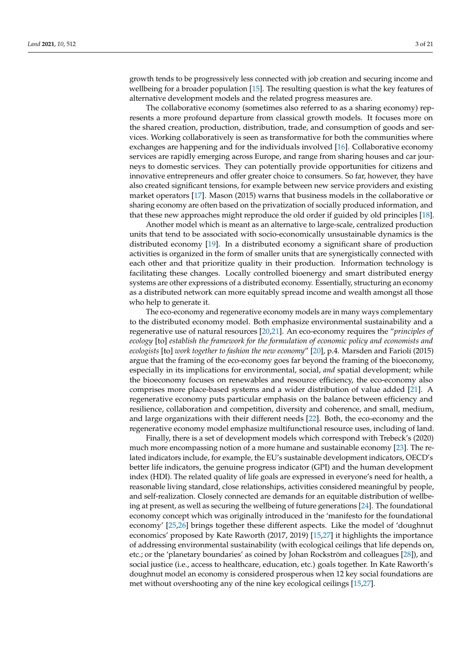growth tends to be progressively less connected with job creation and securing income and wellbeing for a broader population [\[15\]](#page-19-5). The resulting question is what the key features of alternative development models and the related progress measures are.

The collaborative economy (sometimes also referred to as a sharing economy) represents a more profound departure from classical growth models. It focuses more on the shared creation, production, distribution, trade, and consumption of goods and services. Working collaboratively is seen as transformative for both the communities where exchanges are happening and for the individuals involved [\[16\]](#page-19-6). Collaborative economy services are rapidly emerging across Europe, and range from sharing houses and car journeys to domestic services. They can potentially provide opportunities for citizens and innovative entrepreneurs and offer greater choice to consumers. So far, however, they have also created significant tensions, for example between new service providers and existing market operators [\[17\]](#page-19-7). Mason (2015) warns that business models in the collaborative or sharing economy are often based on the privatization of socially produced information, and that these new approaches might reproduce the old order if guided by old principles [\[18\]](#page-19-8).

Another model which is meant as an alternative to large-scale, centralized production units that tend to be associated with socio-economically unsustainable dynamics is the distributed economy [\[19\]](#page-19-9). In a distributed economy a significant share of production activities is organized in the form of smaller units that are synergistically connected with each other and that prioritize quality in their production. Information technology is facilitating these changes. Locally controlled bioenergy and smart distributed energy systems are other expressions of a distributed economy. Essentially, structuring an economy as a distributed network can more equitably spread income and wealth amongst all those who help to generate it.

The eco-economy and regenerative economy models are in many ways complementary to the distributed economy model. Both emphasize environmental sustainability and a regenerative use of natural resources [\[20](#page-19-10)[,21\]](#page-19-11). An eco-economy requires the "*principles of ecology* [to] *establish the framework for the formulation of economic policy and economists and ecologists* [to] *work together to fashion the new economy*" [\[20\]](#page-19-10), p.4. Marsden and Farioli (2015) argue that the framing of the eco-economy goes far beyond the framing of the bioeconomy, especially in its implications for environmental, social, *and* spatial development; while the bioeconomy focuses on renewables and resource efficiency, the eco-economy also comprises more place-based systems and a wider distribution of value added [\[21\]](#page-19-11). A regenerative economy puts particular emphasis on the balance between efficiency and resilience, collaboration and competition, diversity and coherence, and small, medium, and large organizations with their different needs [\[22\]](#page-19-12). Both, the eco-economy and the regenerative economy model emphasize multifunctional resource uses, including of land.

Finally, there is a set of development models which correspond with Trebeck's (2020) much more encompassing notion of a more humane and sustainable economy [\[23\]](#page-19-13). The related indicators include, for example, the EU's sustainable development indicators, OECD's better life indicators, the genuine progress indicator (GPI) and the human development index (HDI). The related quality of life goals are expressed in everyone's need for health, a reasonable living standard, close relationships, activities considered meaningful by people, and self-realization. Closely connected are demands for an equitable distribution of wellbeing at present, as well as securing the wellbeing of future generations [\[24\]](#page-19-14). The foundational economy concept which was originally introduced in the 'manifesto for the foundational economy' [\[25,](#page-19-15)[26\]](#page-19-16) brings together these different aspects. Like the model of 'doughnut economics' proposed by Kate Raworth (2017, 2019) [\[15,](#page-19-5)[27\]](#page-19-17) it highlights the importance of addressing environmental sustainability (with ecological ceilings that life depends on, etc.; or the 'planetary boundaries' as coined by Johan Rockström and colleagues [\[28\]](#page-19-18)), and social justice (i.e., access to healthcare, education, etc.) goals together. In Kate Raworth's doughnut model an economy is considered prosperous when 12 key social foundations are met without overshooting any of the nine key ecological ceilings [\[15,](#page-19-5)[27\]](#page-19-17).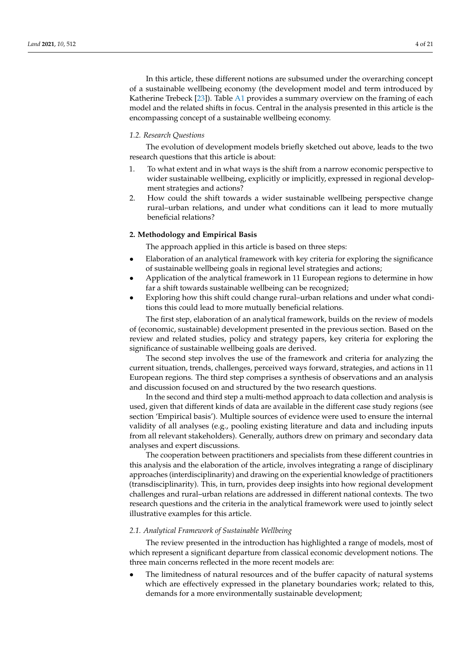In this article, these different notions are subsumed under the overarching concept of a sustainable wellbeing economy (the development model and term introduced by Katherine Trebeck [\[23\]](#page-19-13)). Table [A1](#page-18-9) provides a summary overview on the framing of each model and the related shifts in focus. Central in the analysis presented in this article is the encompassing concept of a sustainable wellbeing economy.

### *1.2. Research Questions*

The evolution of development models briefly sketched out above, leads to the two research questions that this article is about:

- 1. To what extent and in what ways is the shift from a narrow economic perspective to wider sustainable wellbeing, explicitly or implicitly, expressed in regional development strategies and actions?
- 2. How could the shift towards a wider sustainable wellbeing perspective change rural–urban relations, and under what conditions can it lead to more mutually beneficial relations?

# **2. Methodology and Empirical Basis**

The approach applied in this article is based on three steps:

- Elaboration of an analytical framework with key criteria for exploring the significance of sustainable wellbeing goals in regional level strategies and actions;
- Application of the analytical framework in 11 European regions to determine in how far a shift towards sustainable wellbeing can be recognized;
- Exploring how this shift could change rural–urban relations and under what conditions this could lead to more mutually beneficial relations.

The first step, elaboration of an analytical framework, builds on the review of models of (economic, sustainable) development presented in the previous section. Based on the review and related studies, policy and strategy papers, key criteria for exploring the significance of sustainable wellbeing goals are derived.

The second step involves the use of the framework and criteria for analyzing the current situation, trends, challenges, perceived ways forward, strategies, and actions in 11 European regions. The third step comprises a synthesis of observations and an analysis and discussion focused on and structured by the two research questions.

In the second and third step a multi-method approach to data collection and analysis is used, given that different kinds of data are available in the different case study regions (see section 'Empirical basis'). Multiple sources of evidence were used to ensure the internal validity of all analyses (e.g., pooling existing literature and data and including inputs from all relevant stakeholders). Generally, authors drew on primary and secondary data analyses and expert discussions.

The cooperation between practitioners and specialists from these different countries in this analysis and the elaboration of the article, involves integrating a range of disciplinary approaches (interdisciplinarity) and drawing on the experiential knowledge of practitioners (transdisciplinarity). This, in turn, provides deep insights into how regional development challenges and rural–urban relations are addressed in different national contexts. The two research questions and the criteria in the analytical framework were used to jointly select illustrative examples for this article.

# *2.1. Analytical Framework of Sustainable Wellbeing*

The review presented in the introduction has highlighted a range of models, most of which represent a significant departure from classical economic development notions. The three main concerns reflected in the more recent models are:

The limitedness of natural resources and of the buffer capacity of natural systems which are effectively expressed in the planetary boundaries work; related to this, demands for a more environmentally sustainable development;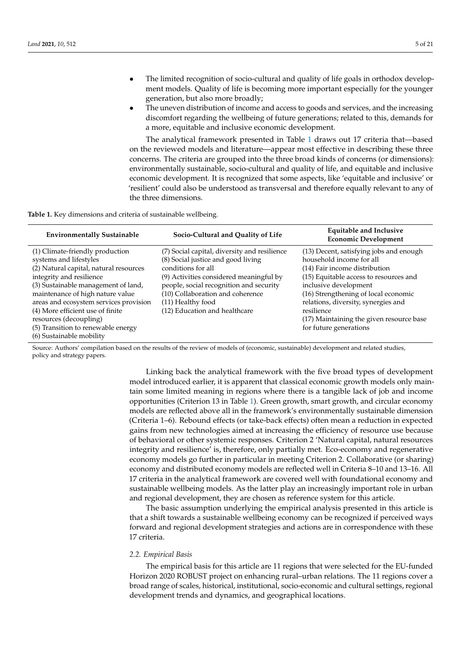- The limited recognition of socio-cultural and quality of life goals in orthodox development models. Quality of life is becoming more important especially for the younger generation, but also more broadly;
- The uneven distribution of income and access to goods and services, and the increasing discomfort regarding the wellbeing of future generations; related to this, demands for a more, equitable and inclusive economic development.

The analytical framework presented in Table [1](#page-4-0) draws out 17 criteria that—based on the reviewed models and literature—appear most effective in describing these three concerns. The criteria are grouped into the three broad kinds of concerns (or dimensions): environmentally sustainable, socio-cultural and quality of life, and equitable and inclusive economic development. It is recognized that some aspects, like 'equitable and inclusive' or 'resilient' could also be understood as transversal and therefore equally relevant to any of the three dimensions.

<span id="page-4-0"></span>**Table 1.** Key dimensions and criteria of sustainable wellbeing.

| <b>Environmentally Sustainable</b>                                                                                                                                                                                                                                                                                                                                                   | Socio-Cultural and Quality of Life                                                                                                                                                                                                                                                       | <b>Equitable and Inclusive</b><br><b>Economic Development</b>                                                                                                                                                                                                                                                                              |
|--------------------------------------------------------------------------------------------------------------------------------------------------------------------------------------------------------------------------------------------------------------------------------------------------------------------------------------------------------------------------------------|------------------------------------------------------------------------------------------------------------------------------------------------------------------------------------------------------------------------------------------------------------------------------------------|--------------------------------------------------------------------------------------------------------------------------------------------------------------------------------------------------------------------------------------------------------------------------------------------------------------------------------------------|
| (1) Climate-friendly production<br>systems and lifestyles<br>(2) Natural capital, natural resources<br>integrity and resilience<br>(3) Sustainable management of land,<br>maintenance of high nature value<br>areas and ecosystem services provision<br>(4) More efficient use of finite<br>resources (decoupling)<br>(5) Transition to renewable energy<br>(6) Sustainable mobility | (7) Social capital, diversity and resilience<br>(8) Social justice and good living<br>conditions for all<br>(9) Activities considered meaningful by<br>people, social recognition and security<br>(10) Collaboration and coherence<br>(11) Healthy food<br>(12) Education and healthcare | (13) Decent, satisfying jobs and enough<br>household income for all<br>(14) Fair income distribution<br>(15) Equitable access to resources and<br>inclusive development<br>(16) Strengthening of local economic<br>relations, diversity, synergies and<br>resilience<br>(17) Maintaining the given resource base<br>for future generations |

Source: Authors' compilation based on the results of the review of models of (economic, sustainable) development and related studies, policy and strategy papers.

> Linking back the analytical framework with the five broad types of development model introduced earlier, it is apparent that classical economic growth models only maintain some limited meaning in regions where there is a tangible lack of job and income opportunities (Criterion 13 in Table [1\)](#page-4-0). Green growth, smart growth, and circular economy models are reflected above all in the framework's environmentally sustainable dimension (Criteria 1–6). Rebound effects (or take-back effects) often mean a reduction in expected gains from new technologies aimed at increasing the efficiency of resource use because of behavioral or other systemic responses. Criterion 2 'Natural capital, natural resources integrity and resilience' is, therefore, only partially met. Eco-economy and regenerative economy models go further in particular in meeting Criterion 2. Collaborative (or sharing) economy and distributed economy models are reflected well in Criteria 8–10 and 13–16. All 17 criteria in the analytical framework are covered well with foundational economy and sustainable wellbeing models. As the latter play an increasingly important role in urban and regional development, they are chosen as reference system for this article.

> The basic assumption underlying the empirical analysis presented in this article is that a shift towards a sustainable wellbeing economy can be recognized if perceived ways forward and regional development strategies and actions are in correspondence with these 17 criteria.

#### *2.2. Empirical Basis*

The empirical basis for this article are 11 regions that were selected for the EU-funded Horizon 2020 ROBUST project on enhancing rural–urban relations. The 11 regions cover a broad range of scales, historical, institutional, socio-economic and cultural settings, regional development trends and dynamics, and geographical locations.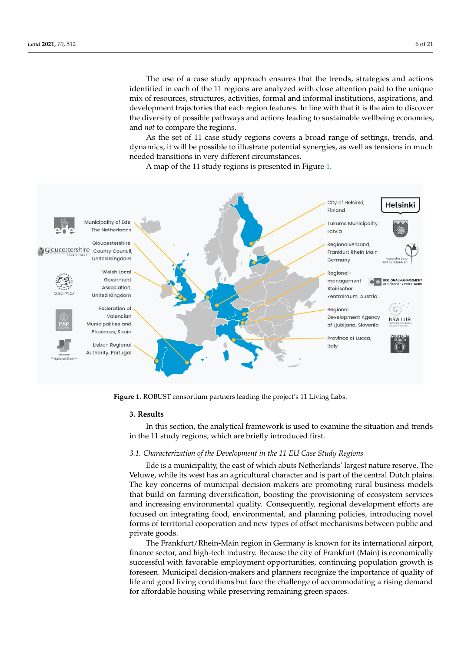The use of a case study approach ensures that the trends, strategies and actions identified in each of the 11 regions are analyzed with close attention paid to the unique mix of resources, structures, activities, formal and informal institutions, aspirations, and nta of resources, structures, activities, formal and mormal mistriations, asphations, and development trajectories that each region features. In line with that it is the aim to discover the diversity of possible pathways and actions leading to sustainable wellbeing economies, diversity of possible pathways and actions leading to sustainable wellbeing economies, and *not* to compare the regions. and *not* to compare the regions.

As the set of 11 case study regions covers a broad range of settings, trends, and dynamics, it will be possible to illustrate potential synergies, as well as tensions in much needed transitions in very different circumstances. needed transitions in very different circumstances.

A map of the 11 study regions is presented in Figure 1. A map of the 11 study regions is presented in Fig[ure](#page-5-0) 1.

<span id="page-5-0"></span>

**Figure 1.** ROBUST consortium partners leading the project's 11 Living Labs. **Figure 1.** ROBUST consortium partners leading the project's 11 Living Labs.

# **3. Results 3. Results**

In this section, the analytical framework is used to examine the situation and trends In this section, the analytical framework is used to examine the situation and trends in the 11 study regions, which are briefly introduced first. in the 11 study regions, which are briefly introduced first.

# *3.1. Characterization of the Development in the 11 EU Case Study Regions*

Ede is a municipality, the east of which abuts Netherlands' largest nature reserve, The Veluwe, while its west has an agricultural character and is part of the central Dutch plains. The key concerns of municipal decision-makers are promoting rural business models that build on farming diversification, boosting the provisioning of ecosystem services and increasing environmental quality. Consequently, regional development efforts are focused on integrating food, environmental, and planning policies, introducing novel forms of territorial cooperation and new types of offset mechanisms between public and private goods.

The Frankfurt/Rhein-Main region in Germany is known for its international airport, finance sector, and high-tech industry. Because the city of Frankfurt (Main) is economically successful with favorable employment opportunities, continuing population growth is foreseen. Municipal decision-makers and planners recognize the importance of quality of life and good living conditions but face the challenge of accommodating a rising demand for affordable housing while preserving remaining green spaces.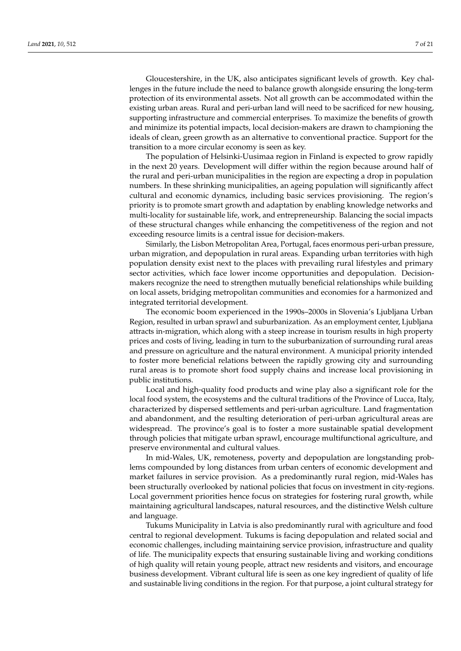Gloucestershire, in the UK, also anticipates significant levels of growth. Key challenges in the future include the need to balance growth alongside ensuring the long-term protection of its environmental assets. Not all growth can be accommodated within the existing urban areas. Rural and peri-urban land will need to be sacrificed for new housing, supporting infrastructure and commercial enterprises. To maximize the benefits of growth and minimize its potential impacts, local decision-makers are drawn to championing the ideals of clean, green growth as an alternative to conventional practice. Support for the transition to a more circular economy is seen as key.

The population of Helsinki-Uusimaa region in Finland is expected to grow rapidly in the next 20 years. Development will differ within the region because around half of the rural and peri-urban municipalities in the region are expecting a drop in population numbers. In these shrinking municipalities, an ageing population will significantly affect cultural and economic dynamics, including basic services provisioning. The region's priority is to promote smart growth and adaptation by enabling knowledge networks and multi-locality for sustainable life, work, and entrepreneurship. Balancing the social impacts of these structural changes while enhancing the competitiveness of the region and not exceeding resource limits is a central issue for decision-makers.

Similarly, the Lisbon Metropolitan Area, Portugal, faces enormous peri-urban pressure, urban migration, and depopulation in rural areas. Expanding urban territories with high population density exist next to the places with prevailing rural lifestyles and primary sector activities, which face lower income opportunities and depopulation. Decisionmakers recognize the need to strengthen mutually beneficial relationships while building on local assets, bridging metropolitan communities and economies for a harmonized and integrated territorial development.

The economic boom experienced in the 1990s–2000s in Slovenia's Ljubljana Urban Region, resulted in urban sprawl and suburbanization. As an employment center, Ljubljana attracts in-migration, which along with a steep increase in tourism results in high property prices and costs of living, leading in turn to the suburbanization of surrounding rural areas and pressure on agriculture and the natural environment. A municipal priority intended to foster more beneficial relations between the rapidly growing city and surrounding rural areas is to promote short food supply chains and increase local provisioning in public institutions.

Local and high-quality food products and wine play also a significant role for the local food system, the ecosystems and the cultural traditions of the Province of Lucca, Italy, characterized by dispersed settlements and peri-urban agriculture. Land fragmentation and abandonment, and the resulting deterioration of peri-urban agricultural areas are widespread. The province's goal is to foster a more sustainable spatial development through policies that mitigate urban sprawl, encourage multifunctional agriculture, and preserve environmental and cultural values.

In mid-Wales, UK, remoteness, poverty and depopulation are longstanding problems compounded by long distances from urban centers of economic development and market failures in service provision. As a predominantly rural region, mid-Wales has been structurally overlooked by national policies that focus on investment in city-regions. Local government priorities hence focus on strategies for fostering rural growth, while maintaining agricultural landscapes, natural resources, and the distinctive Welsh culture and language.

Tukums Municipality in Latvia is also predominantly rural with agriculture and food central to regional development. Tukums is facing depopulation and related social and economic challenges, including maintaining service provision, infrastructure and quality of life. The municipality expects that ensuring sustainable living and working conditions of high quality will retain young people, attract new residents and visitors, and encourage business development. Vibrant cultural life is seen as one key ingredient of quality of life and sustainable living conditions in the region. For that purpose, a joint cultural strategy for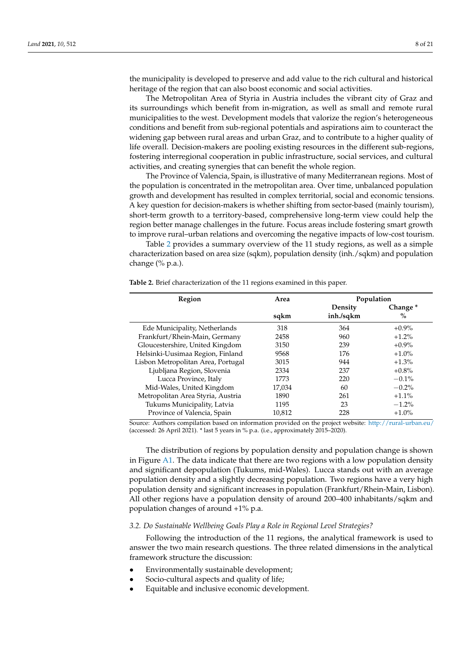the municipality is developed to preserve and add value to the rich cultural and historical heritage of the region that can also boost economic and social activities.

The Metropolitan Area of Styria in Austria includes the vibrant city of Graz and its surroundings which benefit from in-migration, as well as small and remote rural municipalities to the west. Development models that valorize the region's heterogeneous conditions and benefit from sub-regional potentials and aspirations aim to counteract the widening gap between rural areas and urban Graz, and to contribute to a higher quality of life overall. Decision-makers are pooling existing resources in the different sub-regions, fostering interregional cooperation in public infrastructure, social services, and cultural activities, and creating synergies that can benefit the whole region.

The Province of Valencia, Spain, is illustrative of many Mediterranean regions. Most of the population is concentrated in the metropolitan area. Over time, unbalanced population growth and development has resulted in complex territorial, social and economic tensions. A key question for decision-makers is whether shifting from sector-based (mainly tourism), short-term growth to a territory-based, comprehensive long-term view could help the region better manage challenges in the future. Focus areas include fostering smart growth to improve rural–urban relations and overcoming the negative impacts of low-cost tourism.

Table [2](#page-7-0) provides a summary overview of the 11 study regions, as well as a simple characterization based on area size (sqkm), population density (inh./sqkm) and population change (% p.a.).

| Region                             | Area   | Population |                     |  |  |  |
|------------------------------------|--------|------------|---------------------|--|--|--|
|                                    |        | Density    | Change <sup>*</sup> |  |  |  |
|                                    | sqkm   | inh./sqkm  | $\%$                |  |  |  |
| Ede Municipality, Netherlands      | 318    | 364        | $+0.9\%$            |  |  |  |
| Frankfurt/Rhein-Main, Germany      | 2458   | 960        | $+1.2\%$            |  |  |  |
| Gloucestershire, United Kingdom    | 3150   | 239        | $+0.9\%$            |  |  |  |
| Helsinki-Uusimaa Region, Finland   | 9568   | 176        | $+1.0%$             |  |  |  |
| Lisbon Metropolitan Area, Portugal | 3015   | 944        | $+1.3%$             |  |  |  |
| Ljubljana Region, Slovenia         | 2334   | 237        | $+0.8\%$            |  |  |  |
| Lucca Province, Italy              | 1773   | 220        | $-0.1\%$            |  |  |  |
| Mid-Wales, United Kingdom          | 17,034 | 60         | $-0.2\%$            |  |  |  |
| Metropolitan Area Styria, Austria  | 1890   | 261        | $+1.1\%$            |  |  |  |
| Tukums Municipality, Latvia        | 1195   | 23         | $-1.2\%$            |  |  |  |
| Province of Valencia, Spain        | 10,812 | 228        | $+1.0%$             |  |  |  |

<span id="page-7-0"></span>**Table 2.** Brief characterization of the 11 regions examined in this paper.

Source: Authors compilation based on information provided on the project website: <http://rural-urban.eu/> (accessed: 26 April 2021). \* last 5 years in % p.a. (i.e., approximately 2015–2020).

The distribution of regions by population density and population change is shown in Figure  $A1$ . The data indicate that there are two regions with a low population density and significant depopulation (Tukums, mid-Wales). Lucca stands out with an average population density and a slightly decreasing population. Two regions have a very high population density and significant increases in population (Frankfurt/Rhein-Main, Lisbon). All other regions have a population density of around 200–400 inhabitants/sqkm and population changes of around +1% p.a.

#### *3.2. Do Sustainable Wellbeing Goals Play a Role in Regional Level Strategies?*

Following the introduction of the 11 regions, the analytical framework is used to answer the two main research questions. The three related dimensions in the analytical framework structure the discussion:

- Environmentally sustainable development;
- Socio-cultural aspects and quality of life;
- Equitable and inclusive economic development.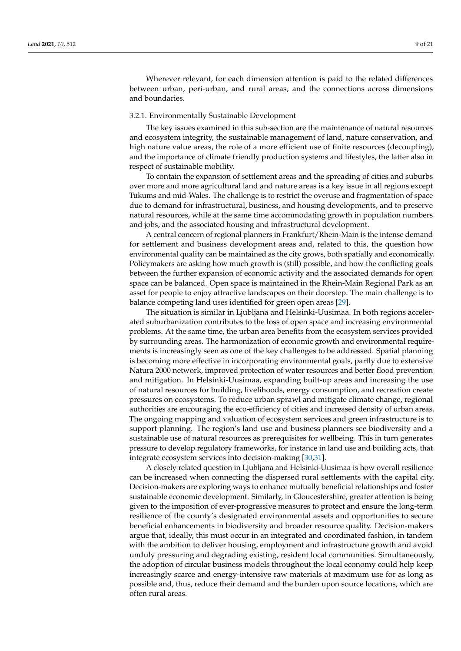Wherever relevant, for each dimension attention is paid to the related differences between urban, peri-urban, and rural areas, and the connections across dimensions and boundaries.

#### 3.2.1. Environmentally Sustainable Development

The key issues examined in this sub-section are the maintenance of natural resources and ecosystem integrity, the sustainable management of land, nature conservation, and high nature value areas, the role of a more efficient use of finite resources (decoupling), and the importance of climate friendly production systems and lifestyles, the latter also in respect of sustainable mobility.

To contain the expansion of settlement areas and the spreading of cities and suburbs over more and more agricultural land and nature areas is a key issue in all regions except Tukums and mid-Wales. The challenge is to restrict the overuse and fragmentation of space due to demand for infrastructural, business, and housing developments, and to preserve natural resources, while at the same time accommodating growth in population numbers and jobs, and the associated housing and infrastructural development.

A central concern of regional planners in Frankfurt/Rhein-Main is the intense demand for settlement and business development areas and, related to this, the question how environmental quality can be maintained as the city grows, both spatially and economically. Policymakers are asking how much growth is (still) possible, and how the conflicting goals between the further expansion of economic activity and the associated demands for open space can be balanced. Open space is maintained in the Rhein-Main Regional Park as an asset for people to enjoy attractive landscapes on their doorstep. The main challenge is to balance competing land uses identified for green open areas [\[29\]](#page-19-19).

The situation is similar in Ljubljana and Helsinki-Uusimaa. In both regions accelerated suburbanization contributes to the loss of open space and increasing environmental problems. At the same time, the urban area benefits from the ecosystem services provided by surrounding areas. The harmonization of economic growth and environmental requirements is increasingly seen as one of the key challenges to be addressed. Spatial planning is becoming more effective in incorporating environmental goals, partly due to extensive Natura 2000 network, improved protection of water resources and better flood prevention and mitigation. In Helsinki-Uusimaa, expanding built-up areas and increasing the use of natural resources for building, livelihoods, energy consumption, and recreation create pressures on ecosystems. To reduce urban sprawl and mitigate climate change, regional authorities are encouraging the eco-efficiency of cities and increased density of urban areas. The ongoing mapping and valuation of ecosystem services and green infrastructure is to support planning. The region's land use and business planners see biodiversity and a sustainable use of natural resources as prerequisites for wellbeing. This in turn generates pressure to develop regulatory frameworks, for instance in land use and building acts, that integrate ecosystem services into decision-making [\[30](#page-19-20)[,31\]](#page-19-21).

A closely related question in Ljubljana and Helsinki-Uusimaa is how overall resilience can be increased when connecting the dispersed rural settlements with the capital city. Decision-makers are exploring ways to enhance mutually beneficial relationships and foster sustainable economic development. Similarly, in Gloucestershire, greater attention is being given to the imposition of ever-progressive measures to protect and ensure the long-term resilience of the county's designated environmental assets and opportunities to secure beneficial enhancements in biodiversity and broader resource quality. Decision-makers argue that, ideally, this must occur in an integrated and coordinated fashion, in tandem with the ambition to deliver housing, employment and infrastructure growth and avoid unduly pressuring and degrading existing, resident local communities. Simultaneously, the adoption of circular business models throughout the local economy could help keep increasingly scarce and energy-intensive raw materials at maximum use for as long as possible and, thus, reduce their demand and the burden upon source locations, which are often rural areas.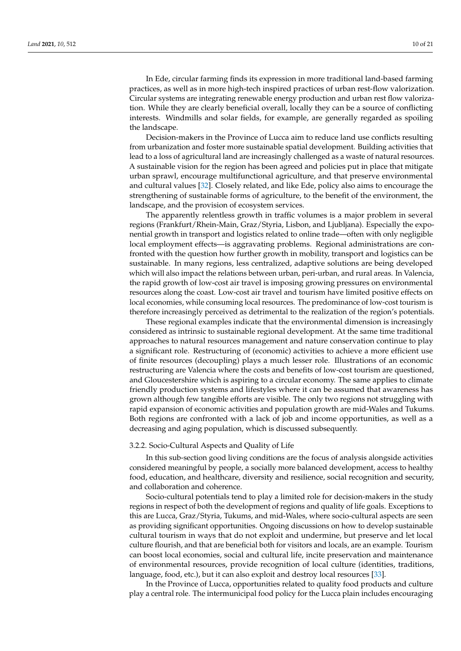In Ede, circular farming finds its expression in more traditional land-based farming practices, as well as in more high-tech inspired practices of urban rest-flow valorization. Circular systems are integrating renewable energy production and urban rest flow valorization. While they are clearly beneficial overall, locally they can be a source of conflicting interests. Windmills and solar fields, for example, are generally regarded as spoiling the landscape.

Decision-makers in the Province of Lucca aim to reduce land use conflicts resulting from urbanization and foster more sustainable spatial development. Building activities that lead to a loss of agricultural land are increasingly challenged as a waste of natural resources. A sustainable vision for the region has been agreed and policies put in place that mitigate urban sprawl, encourage multifunctional agriculture, and that preserve environmental and cultural values [\[32\]](#page-19-22). Closely related, and like Ede, policy also aims to encourage the strengthening of sustainable forms of agriculture, to the benefit of the environment, the landscape, and the provision of ecosystem services.

The apparently relentless growth in traffic volumes is a major problem in several regions (Frankfurt/Rhein-Main, Graz/Styria, Lisbon, and Ljubljana). Especially the exponential growth in transport and logistics related to online trade—often with only negligible local employment effects—is aggravating problems. Regional administrations are confronted with the question how further growth in mobility, transport and logistics can be sustainable. In many regions, less centralized, adaptive solutions are being developed which will also impact the relations between urban, peri-urban, and rural areas. In Valencia, the rapid growth of low-cost air travel is imposing growing pressures on environmental resources along the coast. Low-cost air travel and tourism have limited positive effects on local economies, while consuming local resources. The predominance of low-cost tourism is therefore increasingly perceived as detrimental to the realization of the region's potentials.

These regional examples indicate that the environmental dimension is increasingly considered as intrinsic to sustainable regional development. At the same time traditional approaches to natural resources management and nature conservation continue to play a significant role. Restructuring of (economic) activities to achieve a more efficient use of finite resources (decoupling) plays a much lesser role. Illustrations of an economic restructuring are Valencia where the costs and benefits of low-cost tourism are questioned, and Gloucestershire which is aspiring to a circular economy. The same applies to climate friendly production systems and lifestyles where it can be assumed that awareness has grown although few tangible efforts are visible. The only two regions not struggling with rapid expansion of economic activities and population growth are mid-Wales and Tukums. Both regions are confronted with a lack of job and income opportunities, as well as a decreasing and aging population, which is discussed subsequently.

#### 3.2.2. Socio-Cultural Aspects and Quality of Life

In this sub-section good living conditions are the focus of analysis alongside activities considered meaningful by people, a socially more balanced development, access to healthy food, education, and healthcare, diversity and resilience, social recognition and security, and collaboration and coherence.

Socio-cultural potentials tend to play a limited role for decision-makers in the study regions in respect of both the development of regions and quality of life goals. Exceptions to this are Lucca, Graz/Styria, Tukums, and mid-Wales, where socio-cultural aspects are seen as providing significant opportunities. Ongoing discussions on how to develop sustainable cultural tourism in ways that do not exploit and undermine, but preserve and let local culture flourish, and that are beneficial both for visitors and locals, are an example. Tourism can boost local economies, social and cultural life, incite preservation and maintenance of environmental resources, provide recognition of local culture (identities, traditions, language, food, etc.), but it can also exploit and destroy local resources [\[33\]](#page-19-23).

In the Province of Lucca, opportunities related to quality food products and culture play a central role. The intermunicipal food policy for the Lucca plain includes encouraging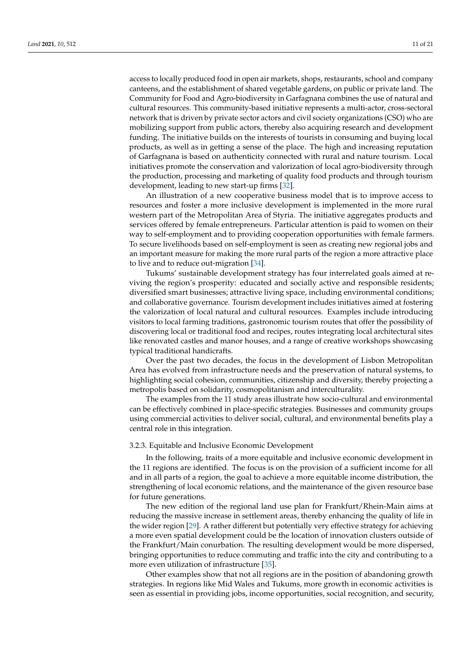access to locally produced food in open air markets, shops, restaurants, school and company canteens, and the establishment of shared vegetable gardens, on public or private land. The Community for Food and Agro-biodiversity in Garfagnana combines the use of natural and cultural resources. This community-based initiative represents a multi-actor, cross-sectoral network that is driven by private sector actors and civil society organizations (CSO) who are mobilizing support from public actors, thereby also acquiring research and development funding. The initiative builds on the interests of tourists in consuming and buying local products, as well as in getting a sense of the place. The high and increasing reputation of Garfagnana is based on authenticity connected with rural and nature tourism. Local initiatives promote the conservation and valorization of local agro-biodiversity through the production, processing and marketing of quality food products and through tourism development, leading to new start-up firms [\[32\]](#page-19-22).

An illustration of a new cooperative business model that is to improve access to resources and foster a more inclusive development is implemented in the more rural western part of the Metropolitan Area of Styria. The initiative aggregates products and services offered by female entrepreneurs. Particular attention is paid to women on their way to self-employment and to providing cooperation opportunities with female farmers. To secure livelihoods based on self-employment is seen as creating new regional jobs and an important measure for making the more rural parts of the region a more attractive place to live and to reduce out-migration [\[34\]](#page-19-24).

Tukums' sustainable development strategy has four interrelated goals aimed at reviving the region's prosperity: educated and socially active and responsible residents; diversified smart businesses; attractive living space, including environmental conditions; and collaborative governance. Tourism development includes initiatives aimed at fostering the valorization of local natural and cultural resources. Examples include introducing visitors to local farming traditions, gastronomic tourism routes that offer the possibility of discovering local or traditional food and recipes, routes integrating local architectural sites like renovated castles and manor houses, and a range of creative workshops showcasing typical traditional handicrafts.

Over the past two decades, the focus in the development of Lisbon Metropolitan Area has evolved from infrastructure needs and the preservation of natural systems, to highlighting social cohesion, communities, citizenship and diversity, thereby projecting a metropolis based on solidarity, cosmopolitanism and interculturality.

The examples from the 11 study areas illustrate how socio-cultural and environmental can be effectively combined in place-specific strategies. Businesses and community groups using commercial activities to deliver social, cultural, and environmental benefits play a central role in this integration.

#### 3.2.3. Equitable and Inclusive Economic Development

In the following, traits of a more equitable and inclusive economic development in the 11 regions are identified. The focus is on the provision of a sufficient income for all and in all parts of a region, the goal to achieve a more equitable income distribution, the strengthening of local economic relations, and the maintenance of the given resource base for future generations.

The new edition of the regional land use plan for Frankfurt/Rhein-Main aims at reducing the massive increase in settlement areas, thereby enhancing the quality of life in the wider region [\[29\]](#page-19-19). A rather different but potentially very effective strategy for achieving a more even spatial development could be the location of innovation clusters outside of the Frankfurt/Main conurbation. The resulting development would be more dispersed, bringing opportunities to reduce commuting and traffic into the city and contributing to a more even utilization of infrastructure [\[35\]](#page-19-25).

Other examples show that not all regions are in the position of abandoning growth strategies. In regions like Mid Wales and Tukums, more growth in economic activities is seen as essential in providing jobs, income opportunities, social recognition, and security,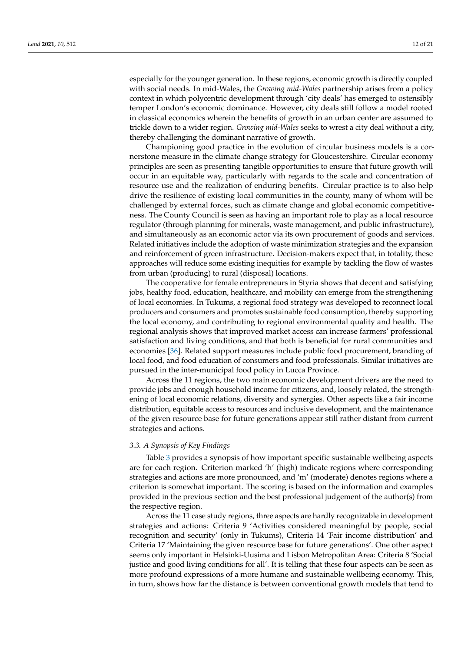especially for the younger generation. In these regions, economic growth is directly coupled with social needs. In mid-Wales, the *Growing mid-Wales* partnership arises from a policy context in which polycentric development through 'city deals' has emerged to ostensibly temper London's economic dominance. However, city deals still follow a model rooted in classical economics wherein the benefits of growth in an urban center are assumed to trickle down to a wider region. *Growing mid-Wales* seeks to wrest a city deal without a city, thereby challenging the dominant narrative of growth.

Championing good practice in the evolution of circular business models is a cornerstone measure in the climate change strategy for Gloucestershire. Circular economy principles are seen as presenting tangible opportunities to ensure that future growth will occur in an equitable way, particularly with regards to the scale and concentration of resource use and the realization of enduring benefits. Circular practice is to also help drive the resilience of existing local communities in the county, many of whom will be challenged by external forces, such as climate change and global economic competitiveness. The County Council is seen as having an important role to play as a local resource regulator (through planning for minerals, waste management, and public infrastructure), and simultaneously as an economic actor via its own procurement of goods and services. Related initiatives include the adoption of waste minimization strategies and the expansion and reinforcement of green infrastructure. Decision-makers expect that, in totality, these approaches will reduce some existing inequities for example by tackling the flow of wastes from urban (producing) to rural (disposal) locations.

The cooperative for female entrepreneurs in Styria shows that decent and satisfying jobs, healthy food, education, healthcare, and mobility can emerge from the strengthening of local economies. In Tukums, a regional food strategy was developed to reconnect local producers and consumers and promotes sustainable food consumption, thereby supporting the local economy, and contributing to regional environmental quality and health. The regional analysis shows that improved market access can increase farmers' professional satisfaction and living conditions, and that both is beneficial for rural communities and economies [\[36\]](#page-19-26). Related support measures include public food procurement, branding of local food, and food education of consumers and food professionals. Similar initiatives are pursued in the inter-municipal food policy in Lucca Province.

Across the 11 regions, the two main economic development drivers are the need to provide jobs and enough household income for citizens, and, loosely related, the strengthening of local economic relations, diversity and synergies. Other aspects like a fair income distribution, equitable access to resources and inclusive development, and the maintenance of the given resource base for future generations appear still rather distant from current strategies and actions.

#### *3.3. A Synopsis of Key Findings*

Table [3](#page-12-0) provides a synopsis of how important specific sustainable wellbeing aspects are for each region. Criterion marked 'h' (high) indicate regions where corresponding strategies and actions are more pronounced, and 'm' (moderate) denotes regions where a criterion is somewhat important. The scoring is based on the information and examples provided in the previous section and the best professional judgement of the author(s) from the respective region.

Across the 11 case study regions, three aspects are hardly recognizable in development strategies and actions: Criteria 9 'Activities considered meaningful by people, social recognition and security' (only in Tukums), Criteria 14 'Fair income distribution' and Criteria 17 'Maintaining the given resource base for future generations'. One other aspect seems only important in Helsinki-Uusima and Lisbon Metropolitan Area: Criteria 8 'Social justice and good living conditions for all'. It is telling that these four aspects can be seen as more profound expressions of a more humane and sustainable wellbeing economy. This, in turn, shows how far the distance is between conventional growth models that tend to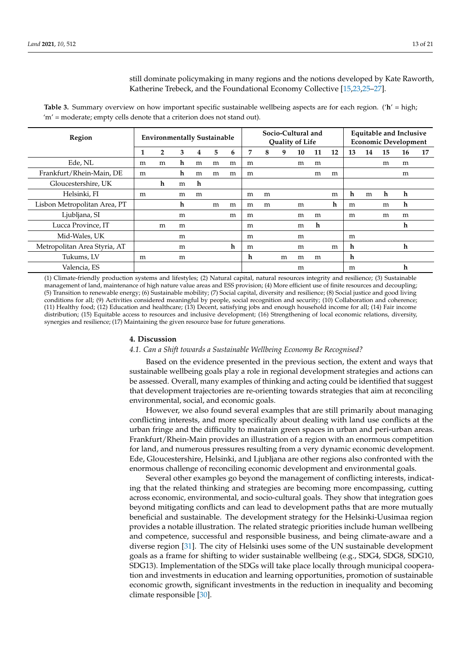still dominate policymaking in many regions and the notions developed by Kate Raworth, Katherine Trebeck, and the Foundational Economy Collective [\[15](#page-19-5)[,23,](#page-19-13)[25](#page-19-15)[–27\]](#page-19-17).

<span id="page-12-0"></span>**Table 3.** Summary overview on how important specific sustainable wellbeing aspects are for each region. ('**h**' = high; 'm' = moderate; empty cells denote that a criterion does not stand out).

| Region                       | <b>Environmentally Sustainable</b> |                |   | Socio-Cultural and<br><b>Quality of Life</b> |   |   |                | <b>Equitable and Inclusive</b><br><b>Economic Development</b> |   |    |    |    |    |    |    |    |    |
|------------------------------|------------------------------------|----------------|---|----------------------------------------------|---|---|----------------|---------------------------------------------------------------|---|----|----|----|----|----|----|----|----|
|                              | 1                                  | $\overline{2}$ | 3 | 4                                            | 5 | 6 | $\overline{7}$ | 8                                                             | 9 | 10 | 11 | 12 | 13 | 14 | 15 | 16 | 17 |
| Ede, NL                      | m                                  | m              | h | m                                            | m | m | m              |                                                               |   | m  | m  |    |    |    | m  | m  |    |
| Frankfurt/Rhein-Main, DE     | m                                  |                | h | m                                            | m | m | m              |                                                               |   |    | m  | m  |    |    |    | m  |    |
| Gloucestershire, UK          |                                    | h              | m | h                                            |   |   |                |                                                               |   |    |    |    |    |    |    |    |    |
| Helsinki, FI                 | m                                  |                | m | m                                            |   |   | m              | m                                                             |   |    |    | m  | h  | m  | h  | h  |    |
| Lisbon Metropolitan Area, PT |                                    |                | h |                                              | m | m | m              | m                                                             |   | m  |    | h  | m  |    | m  | h  |    |
| Ljubljana, SI                |                                    |                | m |                                              |   | m | m              |                                                               |   | m  | m  |    | m  |    | m  | m  |    |
| Lucca Province, IT           |                                    | m              | m |                                              |   |   | m              |                                                               |   | m  | h  |    |    |    |    | h  |    |
| Mid-Wales, UK                |                                    |                | m |                                              |   |   | m              |                                                               |   | m  |    |    | m  |    |    |    |    |
| Metropolitan Area Styria, AT |                                    |                | m |                                              |   | h | m              |                                                               |   | m  |    | m  | h  |    |    | h  |    |
| Tukums, LV                   | m                                  |                | m |                                              |   |   | h              |                                                               | m | m  | m  |    | h  |    |    |    |    |
| Valencia, ES                 |                                    |                |   |                                              |   |   |                |                                                               |   | m  |    |    | m  |    |    | h  |    |

(1) Climate-friendly production systems and lifestyles; (2) Natural capital, natural resources integrity and resilience; (3) Sustainable management of land, maintenance of high nature value areas and ESS provision; (4) More efficient use of finite resources and decoupling; (5) Transition to renewable energy; (6) Sustainable mobility; (7) Social capital, diversity and resilience; (8) Social justice and good living conditions for all; (9) Activities considered meaningful by people, social recognition and security; (10) Collaboration and coherence; (11) Healthy food; (12) Education and healthcare; (13) Decent, satisfying jobs and enough household income for all; (14) Fair income distribution; (15) Equitable access to resources and inclusive development; (16) Strengthening of local economic relations, diversity, synergies and resilience; (17) Maintaining the given resource base for future generations.

#### **4. Discussion**

## *4.1. Can a Shift towards a Sustainable Wellbeing Economy Be Recognised?*

Based on the evidence presented in the previous section, the extent and ways that sustainable wellbeing goals play a role in regional development strategies and actions can be assessed. Overall, many examples of thinking and acting could be identified that suggest that development trajectories are re-orienting towards strategies that aim at reconciling environmental, social, and economic goals.

However, we also found several examples that are still primarily about managing conflicting interests, and more specifically about dealing with land use conflicts at the urban fringe and the difficulty to maintain green spaces in urban and peri-urban areas. Frankfurt/Rhein-Main provides an illustration of a region with an enormous competition for land, and numerous pressures resulting from a very dynamic economic development. Ede, Gloucestershire, Helsinki, and Ljubljana are other regions also confronted with the enormous challenge of reconciling economic development and environmental goals.

Several other examples go beyond the management of conflicting interests, indicating that the related thinking and strategies are becoming more encompassing, cutting across economic, environmental, and socio-cultural goals. They show that integration goes beyond mitigating conflicts and can lead to development paths that are more mutually beneficial and sustainable. The development strategy for the Helsinki-Uusimaa region provides a notable illustration. The related strategic priorities include human wellbeing and competence, successful and responsible business, and being climate-aware and a diverse region [\[31\]](#page-19-21). The city of Helsinki uses some of the UN sustainable development goals as a frame for shifting to wider sustainable wellbeing (e.g., SDG4, SDG8, SDG10, SDG13). Implementation of the SDGs will take place locally through municipal cooperation and investments in education and learning opportunities, promotion of sustainable economic growth, significant investments in the reduction in inequality and becoming climate responsible [\[30\]](#page-19-20).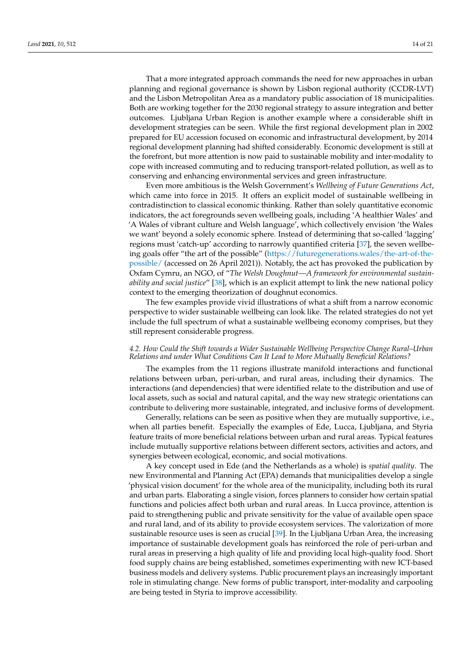That a more integrated approach commands the need for new approaches in urban planning and regional governance is shown by Lisbon regional authority (CCDR-LVT) and the Lisbon Metropolitan Area as a mandatory public association of 18 municipalities. Both are working together for the 2030 regional strategy to assure integration and better outcomes. Ljubljana Urban Region is another example where a considerable shift in development strategies can be seen. While the first regional development plan in 2002 prepared for EU accession focused on economic and infrastructural development, by 2014 regional development planning had shifted considerably. Economic development is still at the forefront, but more attention is now paid to sustainable mobility and inter-modality to cope with increased commuting and to reducing transport-related pollution, as well as to conserving and enhancing environmental services and green infrastructure.

Even more ambitious is the Welsh Government's *Wellbeing of Future Generations Act*, which came into force in 2015. It offers an explicit model of sustainable wellbeing in contradistinction to classical economic thinking. Rather than solely quantitative economic indicators, the act foregrounds seven wellbeing goals, including 'A healthier Wales' and 'A Wales of vibrant culture and Welsh language', which collectively envision 'the Wales we want' beyond a solely economic sphere. Instead of determining that so-called 'lagging' regions must 'catch-up' according to narrowly quantified criteria [\[37\]](#page-19-27), the seven wellbeing goals offer "the art of the possible" [\(https://futuregenerations.wales/the-art-of-the](https://futuregenerations.wales/the-art-of-the-possible/)[possible/](https://futuregenerations.wales/the-art-of-the-possible/) (accessed on 26 April 2021)). Notably, the act has provoked the publication by Oxfam Cymru, an NGO, of "*The Welsh Doughnut—A framework for environmental sustainability and social justice*" [\[38\]](#page-19-28), which is an explicit attempt to link the new national policy context to the emerging theorization of doughnut economics.

The few examples provide vivid illustrations of what a shift from a narrow economic perspective to wider sustainable wellbeing can look like. The related strategies do not yet include the full spectrum of what a sustainable wellbeing economy comprises, but they still represent considerable progress.

# *4.2. How Could the Shift towards a Wider Sustainable Wellbeing Perspective Change Rural–Urban Relations and under What Conditions Can It Lead to More Mutually Beneficial Relations?*

The examples from the 11 regions illustrate manifold interactions and functional relations between urban, peri-urban, and rural areas, including their dynamics. The interactions (and dependencies) that were identified relate to the distribution and use of local assets, such as social and natural capital, and the way new strategic orientations can contribute to delivering more sustainable, integrated, and inclusive forms of development.

Generally, relations can be seen as positive when they are mutually supportive, i.e., when all parties benefit. Especially the examples of Ede, Lucca, Ljubljana, and Styria feature traits of more beneficial relations between urban and rural areas. Typical features include mutually supportive relations between different sectors, activities and actors, and synergies between ecological, economic, and social motivations.

A key concept used in Ede (and the Netherlands as a whole) is *spatial quality*. The new Environmental and Planning Act (EPA) demands that municipalities develop a single 'physical vision document' for the whole area of the municipality, including both its rural and urban parts. Elaborating a single vision, forces planners to consider how certain spatial functions and policies affect both urban and rural areas. In Lucca province, attention is paid to strengthening public and private sensitivity for the value of available open space and rural land, and of its ability to provide ecosystem services. The valorization of more sustainable resource uses is seen as crucial [\[39\]](#page-20-0). In the Ljubljana Urban Area, the increasing importance of sustainable development goals has reinforced the role of peri-urban and rural areas in preserving a high quality of life and providing local high-quality food. Short food supply chains are being established, sometimes experimenting with new ICT-based business models and delivery systems. Public procurement plays an increasingly important role in stimulating change. New forms of public transport, inter-modality and carpooling are being tested in Styria to improve accessibility.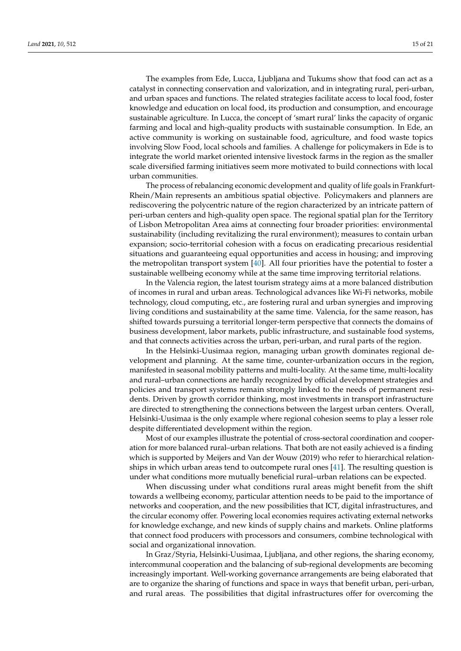The examples from Ede, Lucca, Ljubljana and Tukums show that food can act as a catalyst in connecting conservation and valorization, and in integrating rural, peri-urban, and urban spaces and functions. The related strategies facilitate access to local food, foster knowledge and education on local food, its production and consumption, and encourage sustainable agriculture. In Lucca, the concept of 'smart rural' links the capacity of organic farming and local and high-quality products with sustainable consumption. In Ede, an active community is working on sustainable food, agriculture, and food waste topics involving Slow Food, local schools and families. A challenge for policymakers in Ede is to integrate the world market oriented intensive livestock farms in the region as the smaller scale diversified farming initiatives seem more motivated to build connections with local urban communities.

The process of rebalancing economic development and quality of life goals in Frankfurt-Rhein/Main represents an ambitious spatial objective. Policymakers and planners are rediscovering the polycentric nature of the region characterized by an intricate pattern of peri-urban centers and high-quality open space. The regional spatial plan for the Territory of Lisbon Metropolitan Area aims at connecting four broader priorities: environmental sustainability (including revitalizing the rural environment); measures to contain urban expansion; socio-territorial cohesion with a focus on eradicating precarious residential situations and guaranteeing equal opportunities and access in housing; and improving the metropolitan transport system [\[40\]](#page-20-1). All four priorities have the potential to foster a sustainable wellbeing economy while at the same time improving territorial relations.

In the Valencia region, the latest tourism strategy aims at a more balanced distribution of incomes in rural and urban areas. Technological advances like Wi-Fi networks, mobile technology, cloud computing, etc., are fostering rural and urban synergies and improving living conditions and sustainability at the same time. Valencia, for the same reason, has shifted towards pursuing a territorial longer-term perspective that connects the domains of business development, labor markets, public infrastructure, and sustainable food systems, and that connects activities across the urban, peri-urban, and rural parts of the region.

In the Helsinki-Uusimaa region, managing urban growth dominates regional development and planning. At the same time, counter-urbanization occurs in the region, manifested in seasonal mobility patterns and multi-locality. At the same time, multi-locality and rural–urban connections are hardly recognized by official development strategies and policies and transport systems remain strongly linked to the needs of permanent residents. Driven by growth corridor thinking, most investments in transport infrastructure are directed to strengthening the connections between the largest urban centers. Overall, Helsinki-Uusimaa is the only example where regional cohesion seems to play a lesser role despite differentiated development within the region.

Most of our examples illustrate the potential of cross-sectoral coordination and cooperation for more balanced rural–urban relations. That both are not easily achieved is a finding which is supported by Meijers and Van der Wouw (2019) who refer to hierarchical relationships in which urban areas tend to outcompete rural ones [\[41\]](#page-20-2). The resulting question is under what conditions more mutually beneficial rural–urban relations can be expected.

When discussing under what conditions rural areas might benefit from the shift towards a wellbeing economy, particular attention needs to be paid to the importance of networks and cooperation, and the new possibilities that ICT, digital infrastructures, and the circular economy offer. Powering local economies requires activating external networks for knowledge exchange, and new kinds of supply chains and markets. Online platforms that connect food producers with processors and consumers, combine technological with social and organizational innovation.

In Graz/Styria, Helsinki-Uusimaa, Ljubljana, and other regions, the sharing economy, intercommunal cooperation and the balancing of sub-regional developments are becoming increasingly important. Well-working governance arrangements are being elaborated that are to organize the sharing of functions and space in ways that benefit urban, peri-urban, and rural areas. The possibilities that digital infrastructures offer for overcoming the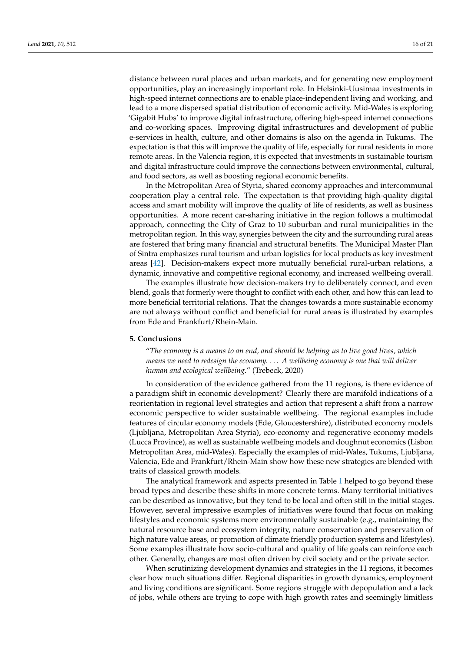distance between rural places and urban markets, and for generating new employment opportunities, play an increasingly important role. In Helsinki-Uusimaa investments in high-speed internet connections are to enable place-independent living and working, and lead to a more dispersed spatial distribution of economic activity. Mid-Wales is exploring 'Gigabit Hubs' to improve digital infrastructure, offering high-speed internet connections and co-working spaces. Improving digital infrastructures and development of public e-services in health, culture, and other domains is also on the agenda in Tukums. The expectation is that this will improve the quality of life, especially for rural residents in more remote areas. In the Valencia region, it is expected that investments in sustainable tourism and digital infrastructure could improve the connections between environmental, cultural, and food sectors, as well as boosting regional economic benefits.

In the Metropolitan Area of Styria, shared economy approaches and intercommunal cooperation play a central role. The expectation is that providing high-quality digital access and smart mobility will improve the quality of life of residents, as well as business opportunities. A more recent car-sharing initiative in the region follows a multimodal approach, connecting the City of Graz to 10 suburban and rural municipalities in the metropolitan region. In this way, synergies between the city and the surrounding rural areas are fostered that bring many financial and structural benefits. The Municipal Master Plan of Sintra emphasizes rural tourism and urban logistics for local products as key investment areas [\[42\]](#page-20-3). Decision-makers expect more mutually beneficial rural-urban relations, a dynamic, innovative and competitive regional economy, and increased wellbeing overall.

The examples illustrate how decision-makers try to deliberately connect, and even blend, goals that formerly were thought to conflict with each other, and how this can lead to more beneficial territorial relations. That the changes towards a more sustainable economy are not always without conflict and beneficial for rural areas is illustrated by examples from Ede and Frankfurt/Rhein-Main.

# **5. Conclusions**

"*The economy is a means to an end, and should be helping us to live good lives, which means we need to redesign the economy.* . . . *A wellbeing economy is one that will deliver human and ecological wellbeing*." (Trebeck, 2020)

In consideration of the evidence gathered from the 11 regions, is there evidence of a paradigm shift in economic development? Clearly there are manifold indications of a reorientation in regional level strategies and action that represent a shift from a narrow economic perspective to wider sustainable wellbeing. The regional examples include features of circular economy models (Ede, Gloucestershire), distributed economy models (Ljubljana, Metropolitan Area Styria), eco-economy and regenerative economy models (Lucca Province), as well as sustainable wellbeing models and doughnut economics (Lisbon Metropolitan Area, mid-Wales). Especially the examples of mid-Wales, Tukums, Ljubljana, Valencia, Ede and Frankfurt/Rhein-Main show how these new strategies are blended with traits of classical growth models.

The analytical framework and aspects presented in Table [1](#page-4-0) helped to go beyond these broad types and describe these shifts in more concrete terms. Many territorial initiatives can be described as innovative, but they tend to be local and often still in the initial stages. However, several impressive examples of initiatives were found that focus on making lifestyles and economic systems more environmentally sustainable (e.g., maintaining the natural resource base and ecosystem integrity, nature conservation and preservation of high nature value areas, or promotion of climate friendly production systems and lifestyles). Some examples illustrate how socio-cultural and quality of life goals can reinforce each other. Generally, changes are most often driven by civil society and or the private sector.

When scrutinizing development dynamics and strategies in the 11 regions, it becomes clear how much situations differ. Regional disparities in growth dynamics, employment and living conditions are significant. Some regions struggle with depopulation and a lack of jobs, while others are trying to cope with high growth rates and seemingly limitless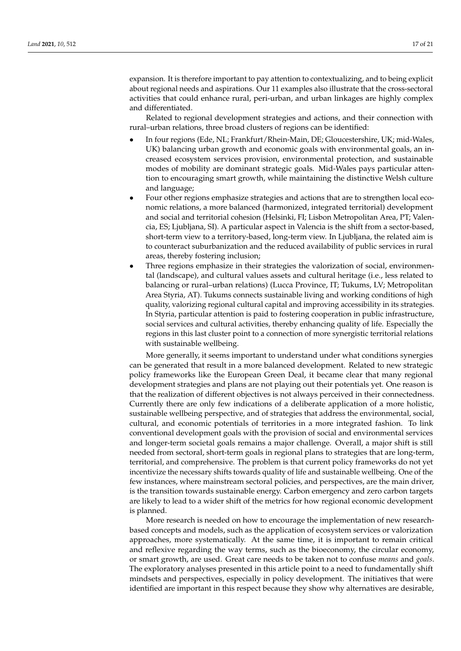expansion. It is therefore important to pay attention to contextualizing, and to being explicit about regional needs and aspirations. Our 11 examples also illustrate that the cross-sectoral activities that could enhance rural, peri-urban, and urban linkages are highly complex and differentiated.

Related to regional development strategies and actions, and their connection with rural–urban relations, three broad clusters of regions can be identified:

- In four regions (Ede, NL; Frankfurt/Rhein-Main, DE; Gloucestershire, UK; mid-Wales, UK) balancing urban growth and economic goals with environmental goals, an increased ecosystem services provision, environmental protection, and sustainable modes of mobility are dominant strategic goals. Mid-Wales pays particular attention to encouraging smart growth, while maintaining the distinctive Welsh culture and language;
- Four other regions emphasize strategies and actions that are to strengthen local economic relations, a more balanced (harmonized, integrated territorial) development and social and territorial cohesion (Helsinki, FI; Lisbon Metropolitan Area, PT; Valencia, ES; Ljubljana, SI). A particular aspect in Valencia is the shift from a sector-based, short-term view to a territory-based, long-term view. In Ljubljana, the related aim is to counteract suburbanization and the reduced availability of public services in rural areas, thereby fostering inclusion;
- Three regions emphasize in their strategies the valorization of social, environmental (landscape), and cultural values assets and cultural heritage (i.e., less related to balancing or rural–urban relations) (Lucca Province, IT; Tukums, LV; Metropolitan Area Styria, AT). Tukums connects sustainable living and working conditions of high quality, valorizing regional cultural capital and improving accessibility in its strategies. In Styria, particular attention is paid to fostering cooperation in public infrastructure, social services and cultural activities, thereby enhancing quality of life. Especially the regions in this last cluster point to a connection of more synergistic territorial relations with sustainable wellbeing.

More generally, it seems important to understand under what conditions synergies can be generated that result in a more balanced development. Related to new strategic policy frameworks like the European Green Deal, it became clear that many regional development strategies and plans are not playing out their potentials yet. One reason is that the realization of different objectives is not always perceived in their connectedness. Currently there are only few indications of a deliberate application of a more holistic, sustainable wellbeing perspective, and of strategies that address the environmental, social, cultural, and economic potentials of territories in a more integrated fashion. To link conventional development goals with the provision of social and environmental services and longer-term societal goals remains a major challenge. Overall, a major shift is still needed from sectoral, short-term goals in regional plans to strategies that are long-term, territorial, and comprehensive. The problem is that current policy frameworks do not yet incentivize the necessary shifts towards quality of life and sustainable wellbeing. One of the few instances, where mainstream sectoral policies, and perspectives, are the main driver, is the transition towards sustainable energy. Carbon emergency and zero carbon targets are likely to lead to a wider shift of the metrics for how regional economic development is planned.

More research is needed on how to encourage the implementation of new researchbased concepts and models, such as the application of ecosystem services or valorization approaches, more systematically. At the same time, it is important to remain critical and reflexive regarding the way terms, such as the bioeconomy, the circular economy, or smart growth, are used. Great care needs to be taken not to confuse *means* and *goals*. The exploratory analyses presented in this article point to a need to fundamentally shift mindsets and perspectives, especially in policy development. The initiatives that were identified are important in this respect because they show why alternatives are desirable,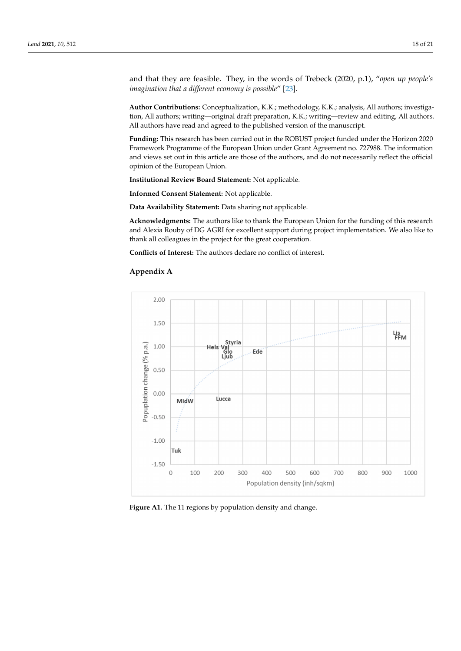and that they are feasible. They, in the words of Trebeck (2020, p.1), "*open up people's imagination that a different economy is possible*" [\[23\]](#page-19-13).

**Author Contributions:** Conceptualization, K.K.; methodology, K.K.; analysis, All authors; investigation, All authors; writing—original draft preparation, K.K.; writing—review and editing, All authors. All authors have read and agreed to the published version of the manuscript.

**Funding:** This research has been carried out in the ROBUST project funded under the Horizon 2020 Framework Programme of the European Union under Grant Agreement no. 727988. The information and views set out in this article are those of the authors, and do not necessarily reflect the official opinion of the European Union.

**Institutional Review Board Statement:** Not applicable.

**Informed Consent Statement:** Not applicable.

**Data Availability Statement:** Data sharing not applicable.

**Acknowledgments:** The authors like to thank the European Union for the funding of this research and Alexia Rouby of DG AGRI for excellent support during project implementation. We also like to thank all colleagues in the project for the great cooperation.

**Conflicts of Interest:** The authors declare no conflict of interest.

# **Appendix A**

<span id="page-17-0"></span>

**Figure A1.** The 11 regions by population density and change. **Figure A1.** The 11 regions by population density and change.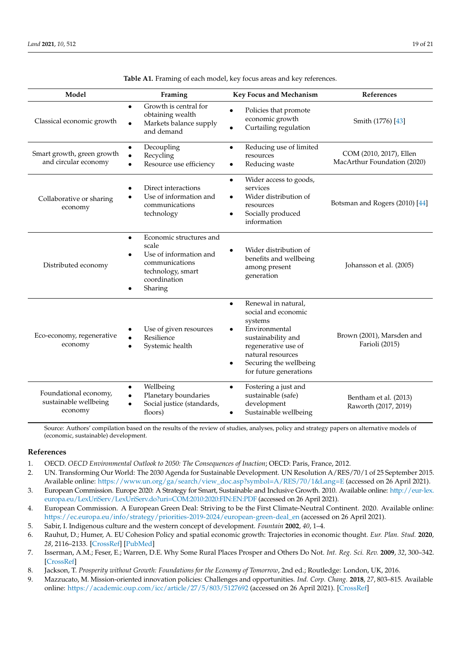<span id="page-18-9"></span>

| Model                                                     | Framing                                                                                                                                                | Key Focus and Mechanism                                                                                                                                                                                                             | References                                             |
|-----------------------------------------------------------|--------------------------------------------------------------------------------------------------------------------------------------------------------|-------------------------------------------------------------------------------------------------------------------------------------------------------------------------------------------------------------------------------------|--------------------------------------------------------|
| Classical economic growth                                 | Growth is central for<br>$\bullet$<br>obtaining wealth<br>Markets balance supply<br>$\bullet$<br>and demand                                            | Policies that promote<br>$\bullet$<br>economic growth<br>Curtailing regulation                                                                                                                                                      | Smith (1776) [43]                                      |
| Smart growth, green growth<br>and circular economy        | Decoupling<br>٠<br>Recycling<br>$\bullet$<br>Resource use efficiency<br>$\bullet$                                                                      | Reducing use of limited<br>$\bullet$<br>resources<br>Reducing waste<br>$\bullet$                                                                                                                                                    | COM (2010, 2017), Ellen<br>MacArthur Foundation (2020) |
| Collaborative or sharing<br>economy                       | Direct interactions<br>Use of information and<br>communications<br>technology                                                                          | Wider access to goods,<br>$\bullet$<br>services<br>Wider distribution of<br>$\bullet$<br>resources<br>Socially produced<br>$\bullet$<br>information                                                                                 | Botsman and Rogers (2010) [44]                         |
| Distributed economy                                       | Economic structures and<br>$\bullet$<br>scale<br>Use of information and<br>$\bullet$<br>communications<br>technology, smart<br>coordination<br>Sharing | Wider distribution of<br>benefits and wellbeing<br>among present<br>generation                                                                                                                                                      | Johansson et al. (2005)                                |
| Eco-economy, regenerative<br>economy                      | Use of given resources<br>Resilience<br>$\bullet$<br>Systemic health<br>$\bullet$                                                                      | Renewal in natural,<br>$\bullet$<br>social and economic<br>systems<br>Environmental<br>$\bullet$<br>sustainability and<br>regenerative use of<br>natural resources<br>Securing the wellbeing<br>$\bullet$<br>for future generations | Brown (2001), Marsden and<br>Farioli (2015)            |
| Foundational economy,<br>sustainable wellbeing<br>economy | Wellbeing<br>$\bullet$<br>Planetary boundaries<br>$\bullet$<br>Social justice (standards,<br>$\bullet$<br>floors)                                      | Fostering a just and<br>$\bullet$<br>sustainable (safe)<br>development<br>Sustainable wellbeing<br>$\bullet$                                                                                                                        | Bentham et al. (2013)<br>Raworth (2017, 2019)          |

**Table A1.** Framing of each model, key focus areas and key references.

Source: Authors' compilation based on the results of the review of studies, analyses, policy and strategy papers on alternative models of (economic, sustainable) development.

# **References**

- <span id="page-18-0"></span>1. OECD. *OECD Environmental Outlook to 2050: The Consequences of Inaction*; OECD: Paris, France, 2012.
- <span id="page-18-1"></span>2. UN. Transforming Our World: The 2030 Agenda for Sustainable Development. UN Resolution A/RES/70/1 of 25 September 2015. Available online: [https://www.un.org/ga/search/view\\_doc.asp?symbol=A/RES/70/1&Lang=E](https://www.un.org/ga/search/view_doc.asp?symbol=A/RES/70/1&Lang=E) (accessed on 26 April 2021).
- <span id="page-18-2"></span>3. European Commission. Europe 2020: A Strategy for Smart, Sustainable and Inclusive Growth. 2010. Available online: [http://eur-lex.](http://eur-lex.europa.eu/LexUriServ/LexUriServ.do?uri=COM:2010:2020:FIN:EN:PDF) [europa.eu/LexUriServ/LexUriServ.do?uri=COM:2010:2020:FIN:EN:PDF](http://eur-lex.europa.eu/LexUriServ/LexUriServ.do?uri=COM:2010:2020:FIN:EN:PDF) (accessed on 26 April 2021).
- <span id="page-18-3"></span>4. European Commission. A European Green Deal: Striving to be the First Climate-Neutral Continent. 2020. Available online: [https://ec.europa.eu/info/strategy/priorities-2019-2024/european-green-deal\\_en](https://ec.europa.eu/info/strategy/priorities-2019-2024/european-green-deal_en) (accessed on 26 April 2021).
- <span id="page-18-4"></span>5. Sabir, I. Indigenous culture and the western concept of development. *Fountain* **2002**, *40*, 1–4.
- <span id="page-18-5"></span>6. Rauhut, D.; Humer, A. EU Cohesion Policy and spatial economic growth: Trajectories in economic thought. *Eur. Plan. Stud.* **2020**, *28*, 2116–2133. [\[CrossRef\]](http://doi.org/10.1080/09654313.2019.1709416) [\[PubMed\]](http://www.ncbi.nlm.nih.gov/pubmed/33767532)
- <span id="page-18-6"></span>7. Isserman, A.M.; Feser, E.; Warren, D.E. Why Some Rural Places Prosper and Others Do Not. *Int. Reg. Sci. Rev.* **2009**, *32*, 300–342. [\[CrossRef\]](http://doi.org/10.1177/0160017609336090)
- <span id="page-18-7"></span>8. Jackson, T. *Prosperity without Growth: Foundations for the Economy of Tomorrow*, 2nd ed.; Routledge: London, UK, 2016.
- <span id="page-18-8"></span>9. Mazzucato, M. Mission-oriented innovation policies: Challenges and opportunities. *Ind. Corp. Chang.* **2018**, *27*, 803–815. Available online: <https://academic.oup.com/icc/article/27/5/803/5127692> (accessed on 26 April 2021). [\[CrossRef\]](http://doi.org/10.1093/icc/dty034)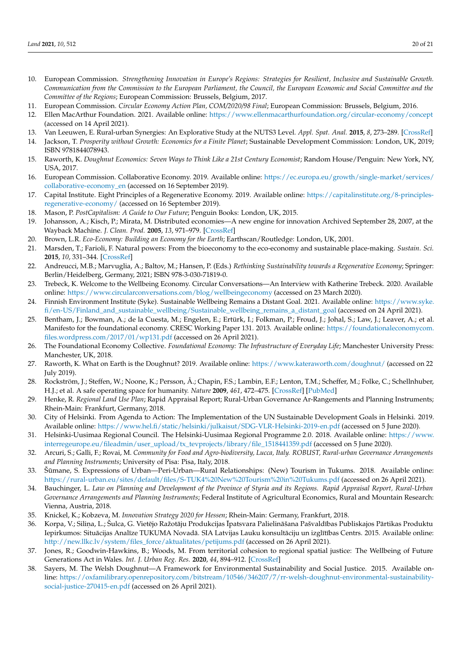- <span id="page-19-0"></span>10. European Commission. *Strengthening Innovation in Europe's Regions: Strategies for Resilient, Inclusive and Sustainable Growth. Communication from the Commission to the European Parliament, the Council, the European Economic and Social Committee and the Committee of the Regions*; European Commission: Brussels, Belgium, 2017.
- <span id="page-19-1"></span>11. European Commission. *Circular Economy Action Plan, COM/2020/98 Final*; European Commission: Brussels, Belgium, 2016.
- <span id="page-19-2"></span>12. Ellen MacArthur Foundation. 2021. Available online: <https://www.ellenmacarthurfoundation.org/circular-economy/concept> (accessed on 14 April 2021).
- <span id="page-19-3"></span>13. Van Leeuwen, E. Rural-urban Synergies: An Explorative Study at the NUTS3 Level. *Appl. Spat. Anal.* **2015**, *8*, 273–289. [\[CrossRef\]](http://doi.org/10.1007/s12061-015-9167-x)
- <span id="page-19-4"></span>14. Jackson, T. *Prosperity without Growth: Economics for a Finite Planet*; Sustainable Development Commission: London, UK, 2019; ISBN 9781844078943.
- <span id="page-19-5"></span>15. Raworth, K. *Doughnut Economics: Seven Ways to Think Like a 21st Century Economist; Random House*/Penguin: New York, NY, USA, 2017.
- <span id="page-19-6"></span>16. European Commission. Collaborative Economy. 2019. Available online: [https://ec.europa.eu/growth/single-market/services/](https://ec.europa.eu/growth/single-market/services/collaborative-economy_en) [collaborative-economy\\_en](https://ec.europa.eu/growth/single-market/services/collaborative-economy_en) (accessed on 16 September 2019).
- <span id="page-19-7"></span>17. Capital Institute. Eight Principles of a Regenerative Economy. 2019. Available online: [https://capitalinstitute.org/8-principles](https://capitalinstitute.org/8-principles-regenerative-economy/)[regenerative-economy/](https://capitalinstitute.org/8-principles-regenerative-economy/) (accessed on 16 September 2019).
- <span id="page-19-8"></span>18. Mason, P. *PostCapitalism: A Guide to Our Future*; Penguin Books: London, UK, 2015.
- <span id="page-19-9"></span>19. Johansson, A.; Kisch, P.; Mirata, M. Distributed economies—A new engine for innovation Archived September 28, 2007, at the Wayback Machine. *J. Clean. Prod.* **2005**, *13*, 971–979. [\[CrossRef\]](http://doi.org/10.1016/j.jclepro.2004.12.015)
- <span id="page-19-10"></span>20. Brown, L.R. *Eco-Economy: Building an Economy for the Earth*; Earthscan/Routledge: London, UK, 2001.
- <span id="page-19-11"></span>21. Marsden, T.; Farioli, F. Natural powers: From the bioeconomy to the eco-economy and sustainable place-making. *Sustain. Sci.* **2015**, *10*, 331–344. [\[CrossRef\]](http://doi.org/10.1007/s11625-014-0287-z)
- <span id="page-19-12"></span>22. Andreucci, M.B.; Marvuglia, A.; Baltov, M.; Hansen, P. (Eds.) *Rethinking Sustainability towards a Regenerative Economy*; Springer: Berlin/Heidelberg, Germany, 2021; ISBN 978-3-030-71819-0.
- <span id="page-19-13"></span>23. Trebeck, K. Welcome to the Wellbeing Economy. Circular Conversations—An Interview with Katherine Trebeck. 2020. Available online: <https://www.circularconversations.com/blog/wellbeingeconomy> (accessed on 23 March 2020).
- <span id="page-19-14"></span>24. Finnish Environment Institute (Syke). Sustainable Wellbeing Remains a Distant Goal. 2021. Available online: [https://www.syke.](https://www.syke.fi/en-US/Finland_and_sustainable_wellbeing/Sustainable_wellbeing_remains_a_distant_goal) [fi/en-US/Finland\\_and\\_sustainable\\_wellbeing/Sustainable\\_wellbeing\\_remains\\_a\\_distant\\_goal](https://www.syke.fi/en-US/Finland_and_sustainable_wellbeing/Sustainable_wellbeing_remains_a_distant_goal) (accessed on 24 April 2021).
- <span id="page-19-15"></span>25. Bentham, J.; Bowman, A.; de la Cuesta, M.; Engelen, E.; Ertürk, I.; Folkman, P.; Froud, J.; Johal, S.; Law, J.; Leaver, A.; et al. Manifesto for the foundational economy. CRESC Working Paper 131. 2013. Available online: [https://foundationaleconomycom.](https://foundationaleconomycom.files.wordpress.com/2017/01/wp131.pdf) [files.wordpress.com/2017/01/wp131.pdf](https://foundationaleconomycom.files.wordpress.com/2017/01/wp131.pdf) (accessed on 26 April 2021).
- <span id="page-19-16"></span>26. The Foundational Economy Collective. *Foundational Economy: The Infrastructure of Everyday Life*; Manchester University Press: Manchester, UK, 2018.
- <span id="page-19-17"></span>27. Raworth, K. What on Earth is the Doughnut? 2019. Available online: <https://www.kateraworth.com/doughnut/> (accessed on 22 July 2019).
- <span id="page-19-18"></span>28. Rockström, J.; Steffen, W.; Noone, K.; Persson, Å.; Chapin, F.S.; Lambin, E.F.; Lenton, T.M.; Scheffer, M.; Folke, C.; Schellnhuber, H.J.; et al. A safe operating space for humanity. *Nature* **2009**, *461*, 472–475. [\[CrossRef\]](http://doi.org/10.1038/461472a) [\[PubMed\]](http://www.ncbi.nlm.nih.gov/pubmed/19779433)
- <span id="page-19-19"></span>29. Henke, R. *Regional Land Use Plan*; Rapid Appraisal Report; Rural-Urban Governance Ar-Rangements and Planning Instruments; Rhein-Main: Frankfurt, Germany, 2018.
- <span id="page-19-20"></span>30. City of Helsinki. From Agenda to Action: The Implementation of the UN Sustainable Development Goals in Helsinki. 2019. Available online: <https://www.hel.fi/static/helsinki/julkaisut/SDG-VLR-Helsinki-2019-en.pdf> (accessed on 5 June 2020).
- <span id="page-19-21"></span>31. Helsinki-Uusimaa Regional Council. The Helsinki-Uusimaa Regional Programme 2.0. 2018. Available online: [https://www.](https://www.interregeurope.eu/fileadmin/user_upload/tx_tevprojects/library/file_1518441359.pdf) [interregeurope.eu/fileadmin/user\\_upload/tx\\_tevprojects/library/file\\_1518441359.pdf](https://www.interregeurope.eu/fileadmin/user_upload/tx_tevprojects/library/file_1518441359.pdf) (accessed on 5 June 2020).
- <span id="page-19-22"></span>32. Arcuri, S.; Galli, F.; Rovai, M. *Community for Food and Agro-biodiversity, Lucca, Italy. ROBUST, Rural-urban Governance Arrangements and Planning Instruments*; University of Pisa: Pisa, Italy, 2018.
- <span id="page-19-23"></span>33. Šumane, S. Expressions of Urban—Peri-Urban—Rural Relationships: (New) Tourism in Tukums. 2018. Available online: ¯ <https://rural-urban.eu/sites/default/files/S-TUK4%20New%20Tourism%20in%20Tukums.pdf> (accessed on 26 April 2021).
- <span id="page-19-24"></span>34. Bauchinger, L. *Law on Planning and Development of the Province of Styria and its Regions. Rapid Appraisal Report, Rural-Urban Governance Arrangements and Planning Instruments*; Federal Institute of Agricultural Economics, Rural and Mountain Research: Vienna, Austria, 2018.
- <span id="page-19-25"></span>35. Knickel, K.; Kobzeva, M. *Innovation Strategy 2020 for Hessen*; Rhein-Main: Germany, Frankfurt, 2018.
- <span id="page-19-26"></span>36. – Korpa, V.; Siliņa, L.; Šulca, G. Vietējo Ražotāju Produkcijas Īpatsvara Palielināšana Pašvaldības Publiskajos Pārtikas Produktu Iepirkumos: Situācijas Analīze TUKUMA Novadā. SIA Latvijas Lauku konsultāciju un izglītības Centrs. 2015. Available online: [http://new.llkc.lv/system/files\\_force/aktualitates/petijums.pdf](http://new.llkc.lv/system/files_force/aktualitates/petijums.pdf) (accessed on 26 April 2021).
- <span id="page-19-27"></span>37. Jones, R.; Goodwin-Hawkins, B.; Woods, M. From territorial cohesion to regional spatial justice: The Wellbeing of Future Generations Act in Wales. *Int. J. Urban Reg. Res.* **2020**, *44*, 894–912. [\[CrossRef\]](http://doi.org/10.1111/1468-2427.12909)
- <span id="page-19-28"></span>38. Sayers, M. The Welsh Doughnut—A Framework for Environmental Sustainability and Social Justice. 2015. Available online: [https://oxfamilibrary.openrepository.com/bitstream/10546/346207/7/rr-welsh-doughnut-environmental-sustainability](https://oxfamilibrary.openrepository.com/bitstream/10546/346207/7/rr-welsh-doughnut-environmental-sustainability-social-justice-270415-en.pdf)[social-justice-270415-en.pdf](https://oxfamilibrary.openrepository.com/bitstream/10546/346207/7/rr-welsh-doughnut-environmental-sustainability-social-justice-270415-en.pdf) (accessed on 26 April 2021).